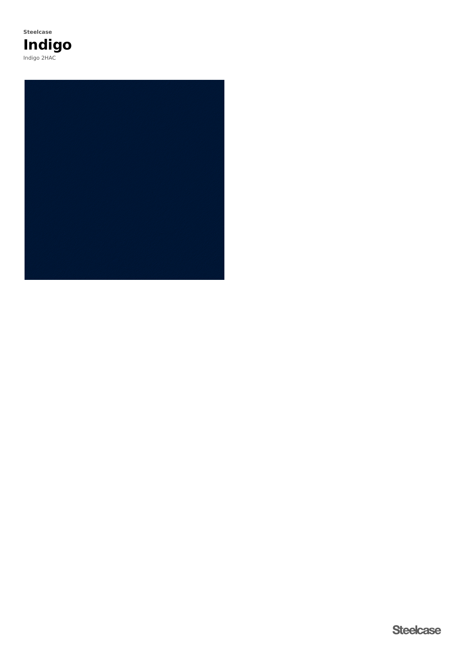

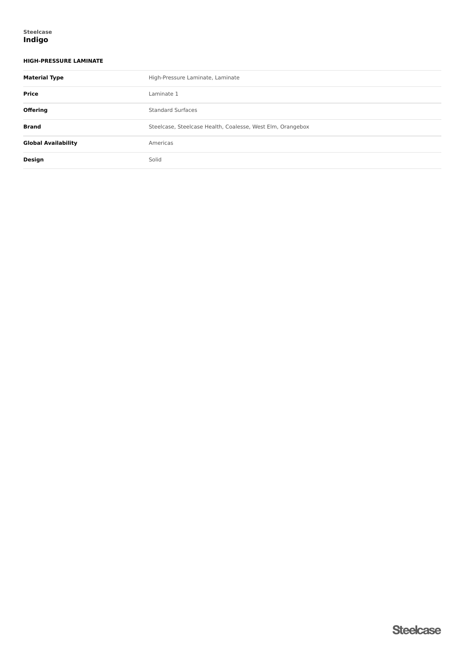## **HIGH-PRESSURE LAMINATE**

| <b>Material Type</b>       | High-Pressure Laminate, Laminate                           |  |  |
|----------------------------|------------------------------------------------------------|--|--|
| <b>Price</b>               | Laminate 1                                                 |  |  |
| <b>Offering</b>            | <b>Standard Surfaces</b>                                   |  |  |
| <b>Brand</b>               | Steelcase, Steelcase Health, Coalesse, West Elm, Orangebox |  |  |
| <b>Global Availability</b> | Americas                                                   |  |  |
| Design                     | Solid                                                      |  |  |